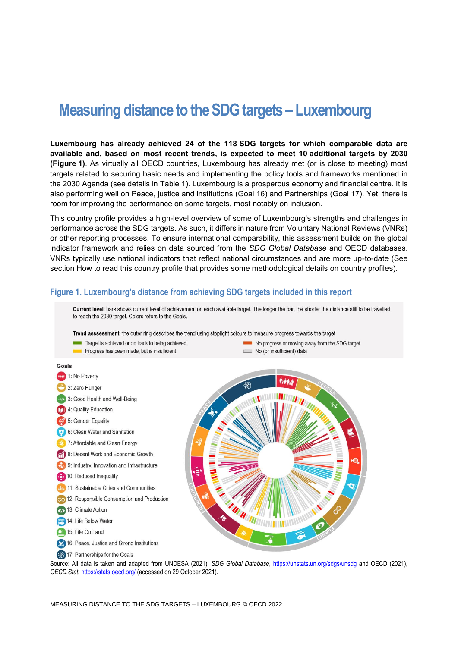# **Measuring distance to the SDG targets – Luxembourg**

**Luxembourg has already achieved 24 of the 118 SDG targets for which comparable data are available and, based on most recent trends, is expected to meet 10 additional targets by 2030 [\(Figure](#page-0-0) 1)**. As virtually all OECD countries, Luxembourg has already met (or is close to meeting) most targets related to securing basic needs and implementing the policy tools and frameworks mentioned in the 2030 Agenda (see details in [Table](#page-3-0) 1). Luxembourg is a prosperous economy and financial centre. It is also performing well on Peace, justice and institutions (Goal 16) and Partnerships (Goal 17). Yet, there is room for improving the performance on some targets, most notably on inclusion.

This country profile provides a high-level overview of some of Luxembourg's strengths and challenges in performance across the SDG targets. As such, it differs in nature from Voluntary National Reviews (VNRs) or other reporting processes. To ensure international comparability, this assessment builds on the global indicator framework and relies on data sourced from the *SDG Global Database* and OECD databases. VNRs typically use national indicators that reflect national circumstances and are more up-to-date (See section [How to read this](#page-7-0) country profile that provides some methodological details on country profiles).

#### <span id="page-0-0"></span>**Figure 1. Luxembourg's distance from achieving SDG targets included in this report**



Source: All data is taken and adapted from UNDESA (2021), *SDG Global Database*,<https://unstats.un.org/sdgs/unsdg> and OECD (2021), *OECD.Stat,* <https://stats.oecd.org/> (accessed on 29 October 2021).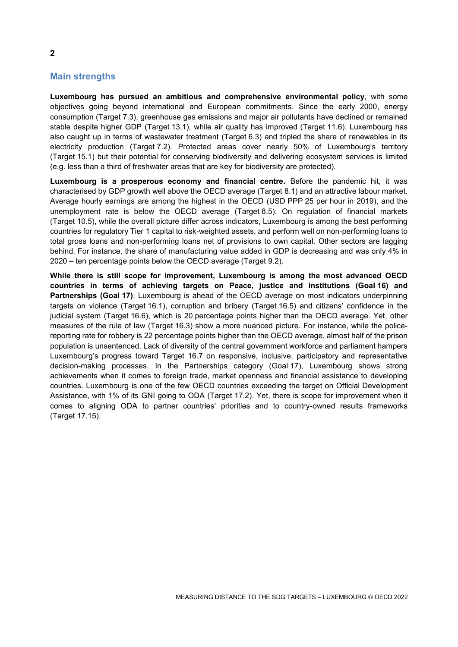# **Main strengths**

**Luxembourg has pursued an ambitious and comprehensive environmental policy**, with some objectives going beyond international and European commitments. Since the early 2000, energy consumption (Target 7.3), greenhouse gas emissions and major air pollutants have declined or remained stable despite higher GDP (Target 13.1), while air quality has improved (Target 11.6). Luxembourg has also caught up in terms of wastewater treatment (Target 6.3) and tripled the share of renewables in its electricity production (Target 7.2). Protected areas cover nearly 50% of Luxembourg's territory (Target 15.1) but their potential for conserving biodiversity and delivering ecosystem services is limited (e.g. less than a third of freshwater areas that are key for biodiversity are protected).

**Luxembourg is a prosperous economy and financial centre.** Before the pandemic hit, it was characterised by GDP growth well above the OECD average (Target 8.1) and an attractive labour market. Average hourly earnings are among the highest in the OECD (USD PPP 25 per hour in 2019), and the unemployment rate is below the OECD average (Target 8.5). On regulation of financial markets (Target 10.5), while the overall picture differ across indicators, Luxembourg is among the best performing countries for regulatory Tier 1 capital to risk-weighted assets, and perform well on non-performing loans to total gross loans and non-performing loans net of provisions to own capital. Other sectors are lagging behind. For instance, the share of manufacturing value added in GDP is decreasing and was only 4% in 2020 – ten percentage points below the OECD average (Target 9.2).

**While there is still scope for improvement, Luxembourg is among the most advanced OECD countries in terms of achieving targets on Peace, justice and institutions (Goal 16) and Partnerships (Goal 17)**. Luxembourg is ahead of the OECD average on most indicators underpinning targets on violence (Target 16.1), corruption and bribery (Target 16.5) and citizens' confidence in the judicial system (Target 16.6), which is 20 percentage points higher than the OECD average. Yet, other measures of the rule of law (Target 16.3) show a more nuanced picture. For instance, while the policereporting rate for robbery is 22 percentage points higher than the OECD average, almost half of the prison population is unsentenced. Lack of diversity of the central government workforce and parliament hampers Luxembourg's progress toward Target 16.7 on responsive, inclusive, participatory and representative decision-making processes. In the Partnerships category (Goal 17), Luxembourg shows strong achievements when it comes to foreign trade, market openness and financial assistance to developing countries. Luxembourg is one of the few OECD countries exceeding the target on Official Development Assistance, with 1% of its GNI going to ODA (Target 17.2). Yet, there is scope for improvement when it comes to aligning ODA to partner countries' priorities and to country-owned results frameworks (Target 17.15).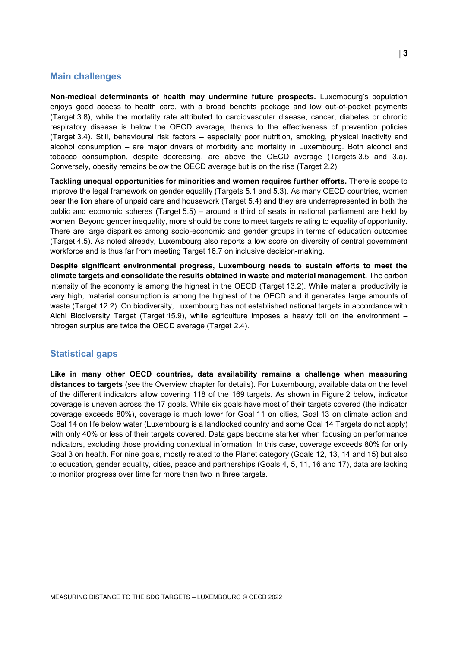#### **Main challenges**

**Non-medical determinants of health may undermine future prospects.** Luxembourg's population enjoys good access to health care, with a broad benefits package and low out-of-pocket payments (Target 3.8), while the mortality rate attributed to cardiovascular disease, cancer, diabetes or chronic respiratory disease is below the OECD average, thanks to the effectiveness of prevention policies (Target 3.4). Still, behavioural risk factors – especially poor nutrition, smoking, physical inactivity and alcohol consumption – are major drivers of morbidity and mortality in Luxembourg. Both alcohol and tobacco consumption, despite decreasing, are above the OECD average (Targets 3.5 and 3.a). Conversely, obesity remains below the OECD average but is on the rise (Target 2.2).

**Tackling unequal opportunities for minorities and women requires further efforts.** There is scope to improve the legal framework on gender equality (Targets 5.1 and 5.3). As many OECD countries, women bear the lion share of unpaid care and housework (Target 5.4) and they are underrepresented in both the public and economic spheres (Target 5.5) – around a third of seats in national parliament are held by women. Beyond gender inequality, more should be done to meet targets relating to equality of opportunity. There are large disparities among socio-economic and gender groups in terms of education outcomes (Target 4.5). As noted already, Luxembourg also reports a low score on diversity of central government workforce and is thus far from meeting Target 16.7 on inclusive decision-making.

**Despite significant environmental progress, Luxembourg needs to sustain efforts to meet the climate targets and consolidate the results obtained in waste and material management.** The carbon intensity of the economy is among the highest in the OECD (Target 13.2). While material productivity is very high, material consumption is among the highest of the OECD and it generates large amounts of waste (Target 12.2). On biodiversity, Luxembourg has not established national targets in accordance with Aichi Biodiversity Target (Target 15.9), while agriculture imposes a heavy toll on the environment – nitrogen surplus are twice the OECD average (Target 2.4).

## **Statistical gaps**

**Like in many other OECD countries, data availability remains a challenge when measuring distances to targets** (see the Overview chapter for details)**.** For Luxembourg, available data on the level of the different indicators allow covering 118 of the 169 targets. As shown in [Figure](#page-3-1) 2 below, indicator coverage is uneven across the 17 goals. While six goals have most of their targets covered (the indicator coverage exceeds 80%), coverage is much lower for Goal 11 on cities, Goal 13 on climate action and Goal 14 on life below water (Luxembourg is a landlocked country and some Goal 14 Targets do not apply) with only 40% or less of their targets covered. Data gaps become starker when focusing on performance indicators, excluding those providing contextual information. In this case, coverage exceeds 80% for only Goal 3 on health. For nine goals, mostly related to the Planet category (Goals 12, 13, 14 and 15) but also to education, gender equality, cities, peace and partnerships (Goals 4, 5, 11, 16 and 17), data are lacking to monitor progress over time for more than two in three targets.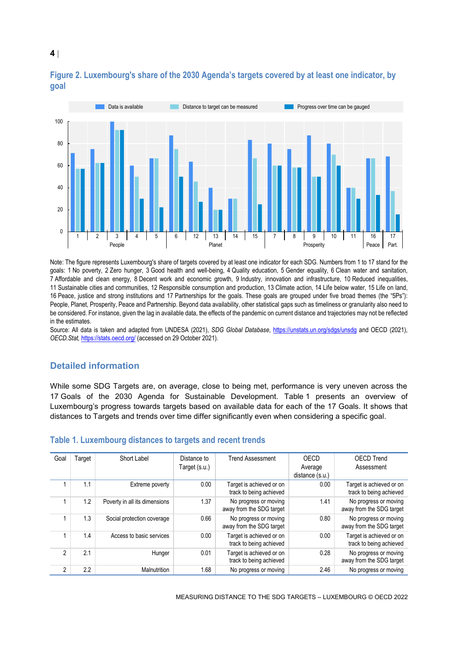

# <span id="page-3-1"></span>**Figure 2. Luxembourg's share of the 2030 Agenda's targets covered by at least one indicator, by goal**

Note: The figure represents Luxembourg's share of targets covered by at least one indicator for each SDG. Numbers from 1 to 17 stand for the goals: 1 No poverty, 2 Zero hunger, 3 Good health and well-being, 4 Quality education, 5 Gender equality, 6 Clean water and sanitation, 7 Affordable and clean energy, 8 Decent work and economic growth, 9 Industry, innovation and infrastructure, 10 Reduced inequalities, 11 Sustainable cities and communities, 12 Responsible consumption and production, 13 Climate action, 14 Life below water, 15 Life on land, 16 Peace, justice and strong institutions and 17 Partnerships for the goals. These goals are grouped under five broad themes (the "5Ps"): People, Planet, Prosperity, Peace and Partnership. Beyond data availability, other statistical gaps such as timeliness or granularity also need to be considered. For instance, given the lag in available data, the effects of the pandemic on current distance and trajectories may not be reflected in the estimates.

Source: All data is taken and adapted from UNDESA (2021), *SDG Global Database*,<https://unstats.un.org/sdgs/unsdg> and OECD (2021), *OECD.Stat,* <https://stats.oecd.org/> (accessed on 29 October 2021).

# **Detailed information**

While some SDG Targets are, on average, close to being met, performance is very uneven across the 17 Goals of the 2030 Agenda for Sustainable Development. [Table](#page-3-0) 1 presents an overview of Luxembourg's progress towards targets based on available data for each of the 17 Goals. It shows that distances to Targets and trends over time differ significantly even when considering a specific goal.

| Goal           | Target | Short Label                   | Distance to   | <b>Trend Assessment</b>                             | OECD            | <b>OECD Trend</b>                                   |
|----------------|--------|-------------------------------|---------------|-----------------------------------------------------|-----------------|-----------------------------------------------------|
|                |        |                               | Target (s.u.) |                                                     | Average         | Assessment                                          |
|                |        |                               |               |                                                     | distance (s.u.) |                                                     |
|                | 1.1    | Extreme poverty               | 0.00          | Target is achieved or on<br>track to being achieved | 0.00            | Target is achieved or on<br>track to being achieved |
|                | 1.2    | Poverty in all its dimensions | 1.37          | No progress or moving<br>away from the SDG target   | 1.41            | No progress or moving<br>away from the SDG target   |
|                | 1.3    | Social protection coverage    | 0.66          | No progress or moving<br>away from the SDG target   | 0.80            | No progress or moving<br>away from the SDG target   |
|                | 1.4    | Access to basic services      | 0.00          | Target is achieved or on<br>track to being achieved | 0.00            | Target is achieved or on<br>track to being achieved |
| $\mathfrak{p}$ | 2.1    | Hunger                        | 0.01          | Target is achieved or on<br>track to being achieved | 0.28            | No progress or moving<br>away from the SDG target   |
| 2              | 2.2    | Malnutrition                  | 1.68          | No progress or moving                               | 2.46            | No progress or moving                               |

#### <span id="page-3-0"></span>**Table 1. Luxembourg distances to targets and recent trends**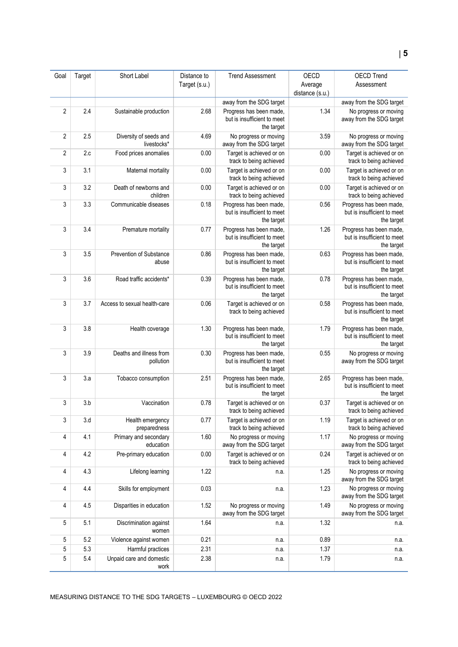| Goal           | Target     | Short Label                           | Distance to   | <b>Trend Assessment</b>                                              | OECD            | OECD Trend                                                           |
|----------------|------------|---------------------------------------|---------------|----------------------------------------------------------------------|-----------------|----------------------------------------------------------------------|
|                |            |                                       | Target (s.u.) |                                                                      | Average         | Assessment                                                           |
|                |            |                                       |               |                                                                      | distance (s.u.) |                                                                      |
|                |            |                                       |               | away from the SDG target                                             |                 | away from the SDG target                                             |
| $\overline{2}$ | 2.4        | Sustainable production                | 2.68          | Progress has been made,<br>but is insufficient to meet<br>the target | 1.34            | No progress or moving<br>away from the SDG target                    |
| $\overline{2}$ | 2.5        | Diversity of seeds and<br>livestocks* | 4.69          | No progress or moving<br>away from the SDG target                    | 3.59            | No progress or moving<br>away from the SDG target                    |
| $\overline{2}$ | 2.c        | Food prices anomalies                 | 0.00          | Target is achieved or on<br>track to being achieved                  | 0.00            | Target is achieved or on<br>track to being achieved                  |
| 3              | 3.1        | Maternal mortality                    | 0.00          | Target is achieved or on<br>track to being achieved                  | 0.00            | Target is achieved or on<br>track to being achieved                  |
| 3              | 3.2        | Death of newborns and<br>children     | 0.00          | Target is achieved or on<br>track to being achieved                  | 0.00            | Target is achieved or on<br>track to being achieved                  |
| 3              | 3.3        | Communicable diseases                 | 0.18          | Progress has been made,<br>but is insufficient to meet<br>the target | 0.56            | Progress has been made,<br>but is insufficient to meet<br>the target |
| 3              | 3.4        | Premature mortality                   | 0.77          | Progress has been made,<br>but is insufficient to meet<br>the target | 1.26            | Progress has been made,<br>but is insufficient to meet<br>the target |
| 3              | 3.5        | Prevention of Substance<br>abuse      | 0.86          | Progress has been made,<br>but is insufficient to meet<br>the target | 0.63            | Progress has been made,<br>but is insufficient to meet<br>the target |
| 3              | 3.6        | Road traffic accidents*               | 0.39          | Progress has been made,<br>but is insufficient to meet<br>the target | 0.78            | Progress has been made,<br>but is insufficient to meet<br>the target |
| 3              | 3.7        | Access to sexual health-care          | 0.06          | Target is achieved or on<br>track to being achieved                  | 0.58            | Progress has been made,<br>but is insufficient to meet<br>the target |
| 3              | 3.8        | Health coverage                       | 1.30          | Progress has been made,<br>but is insufficient to meet<br>the target | 1.79            | Progress has been made,<br>but is insufficient to meet<br>the target |
| 3              | 3.9        | Deaths and illness from<br>pollution  | 0.30          | Progress has been made,<br>but is insufficient to meet<br>the target | 0.55            | No progress or moving<br>away from the SDG target                    |
| 3              | 3.a        | Tobacco consumption                   | 2.51          | Progress has been made,<br>but is insufficient to meet<br>the target | 2.65            | Progress has been made,<br>but is insufficient to meet<br>the target |
| 3              | 3.b        | Vaccination                           | 0.78          | Target is achieved or on<br>track to being achieved                  | 0.37            | Target is achieved or on<br>track to being achieved                  |
| 3              | 3.d        | Health emergency<br>preparedness      | 0.77          | Target is achieved or on<br>track to being achieved                  | 1.19            | Target is achieved or on<br>track to being achieved                  |
| 4              | 4.1        | Primary and secondary<br>education    | 1.60          | No progress or moving<br>away from the SDG target                    | 1.17            | No progress or moving<br>away from the SDG target                    |
| 4              | 4.2        | Pre-primary education                 | 0.00          | Target is achieved or on<br>track to being achieved                  | 0.24            | Target is achieved or on<br>track to being achieved                  |
| 4              | 4.3        | Lifelong learning                     | 1.22          | n.a.                                                                 | 1.25            | No progress or moving<br>away from the SDG target                    |
| 4              | 4.4        | Skills for employment                 | 0.03          | n.a.                                                                 | 1.23            | No progress or moving<br>away from the SDG target                    |
| 4              | 4.5        | Disparities in education              | 1.52          | No progress or moving<br>away from the SDG target                    | 1.49            | No progress or moving<br>away from the SDG target                    |
| 5              | 5.1        | Discrimination against<br>women       | 1.64          | n.a.                                                                 | 1.32            | n.a.                                                                 |
| 5              | 5.2        | Violence against women                | 0.21          | n.a.                                                                 | 0.89            | n.a.                                                                 |
| 5<br>5         | 5.3<br>5.4 | Harmful practices                     | 2.31<br>2.38  | n.a.                                                                 | 1.37            | n.a.                                                                 |
|                |            | Unpaid care and domestic<br>work      |               | n.a.                                                                 | 1.79            | n.a.                                                                 |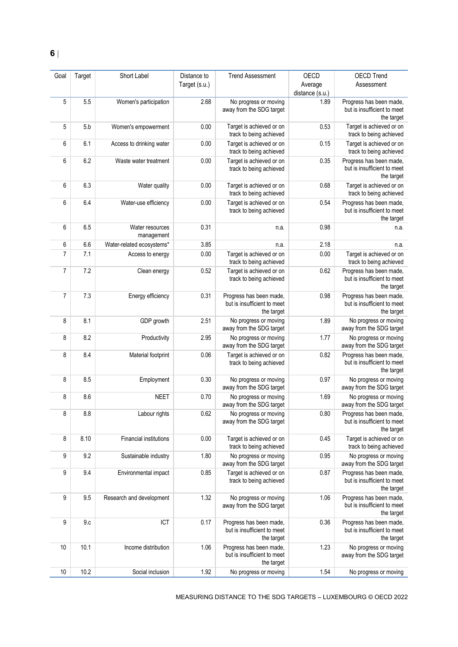| Goal           | Target | Short Label                   | Distance to   | <b>Trend Assessment</b>                                              | OECD            | <b>OECD Trend</b>                                                    |
|----------------|--------|-------------------------------|---------------|----------------------------------------------------------------------|-----------------|----------------------------------------------------------------------|
|                |        |                               | Target (s.u.) |                                                                      | Average         | Assessment                                                           |
|                |        |                               |               |                                                                      | distance (s.u.) |                                                                      |
| 5              | 5.5    | Women's participation         | 2.68          | No progress or moving<br>away from the SDG target                    | 1.89            | Progress has been made,<br>but is insufficient to meet<br>the target |
| 5              | 5.b    | Women's empowerment           | 0.00          | Target is achieved or on<br>track to being achieved                  | 0.53            | Target is achieved or on<br>track to being achieved                  |
| 6              | 6.1    | Access to drinking water      | 0.00          | Target is achieved or on<br>track to being achieved                  | 0.15            | Target is achieved or on<br>track to being achieved                  |
| 6              | 6.2    | Waste water treatment         | 0.00          | Target is achieved or on<br>track to being achieved                  | 0.35            | Progress has been made,<br>but is insufficient to meet<br>the target |
| 6              | 6.3    | Water quality                 | 0.00          | Target is achieved or on<br>track to being achieved                  | 0.68            | Target is achieved or on<br>track to being achieved                  |
| 6              | 6.4    | Water-use efficiency          | 0.00          | Target is achieved or on<br>track to being achieved                  | 0.54            | Progress has been made,<br>but is insufficient to meet<br>the target |
| 6              | 6.5    | Water resources<br>management | 0.31          | n.a.                                                                 | 0.98            | n.a.                                                                 |
| 6              | 6.6    | Water-related ecosystems*     | 3.85          | n.a.                                                                 | 2.18            | n.a.                                                                 |
| $\overline{7}$ | 7.1    | Access to energy              | 0.00          | Target is achieved or on<br>track to being achieved                  | 0.00            | Target is achieved or on<br>track to being achieved                  |
| 7              | 7.2    | Clean energy                  | 0.52          | Target is achieved or on<br>track to being achieved                  | 0.62            | Progress has been made,<br>but is insufficient to meet<br>the target |
| $\overline{7}$ | 7.3    | Energy efficiency             | 0.31          | Progress has been made,<br>but is insufficient to meet<br>the target | 0.98            | Progress has been made,<br>but is insufficient to meet<br>the target |
| 8              | 8.1    | GDP growth                    | 2.51          | No progress or moving<br>away from the SDG target                    | 1.89            | No progress or moving<br>away from the SDG target                    |
| 8              | 8.2    | Productivity                  | 2.95          | No progress or moving<br>away from the SDG target                    | 1.77            | No progress or moving<br>away from the SDG target                    |
| 8              | 8.4    | Material footprint            | 0.06          | Target is achieved or on<br>track to being achieved                  | 0.82            | Progress has been made,<br>but is insufficient to meet<br>the target |
| 8              | 8.5    | Employment                    | 0.30          | No progress or moving<br>away from the SDG target                    | 0.97            | No progress or moving<br>away from the SDG target                    |
| 8              | 8.6    | <b>NEET</b>                   | 0.70          | No progress or moving<br>away from the SDG target                    | 1.69            | No progress or moving<br>away from the SDG target                    |
| 8              | 8.8    | Labour rights                 | 0.62          | No progress or moving<br>away from the SDG target                    | 0.80            | Progress has been made,<br>but is insufficient to meet<br>the target |
| 8              | 8.10   | Financial institutions        | 0.00          | Target is achieved or on<br>track to being achieved                  | 0.45            | Target is achieved or on<br>track to being achieved                  |
| 9              | 9.2    | Sustainable industry          | 1.80          | No progress or moving<br>away from the SDG target                    | 0.95            | No progress or moving<br>away from the SDG target                    |
| 9              | 9.4    | Environmental impact          | 0.85          | Target is achieved or on<br>track to being achieved                  | 0.87            | Progress has been made,<br>but is insufficient to meet<br>the target |
| 9              | 9.5    | Research and development      | 1.32          | No progress or moving<br>away from the SDG target                    | 1.06            | Progress has been made,<br>but is insufficient to meet<br>the target |
| 9              | 9.c    | ICT                           | 0.17          | Progress has been made,<br>but is insufficient to meet<br>the target | 0.36            | Progress has been made,<br>but is insufficient to meet<br>the target |
| 10             | 10.1   | Income distribution           | 1.06          | Progress has been made,<br>but is insufficient to meet<br>the target | 1.23            | No progress or moving<br>away from the SDG target                    |
| 10             | 10.2   | Social inclusion              | 1.92          | No progress or moving                                                | 1.54            | No progress or moving                                                |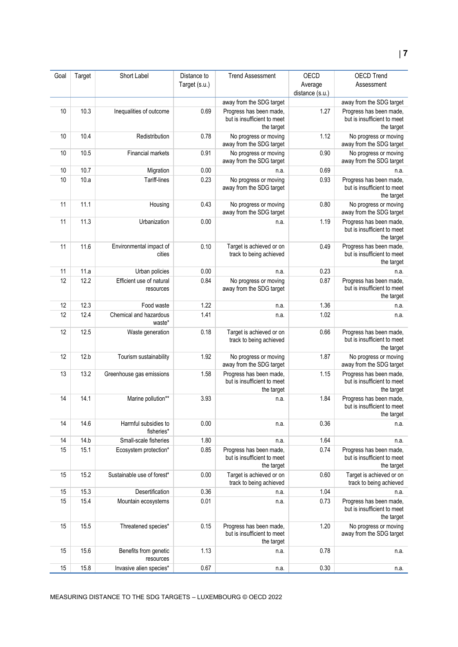| Goal | Target | Short Label                           | Distance to   | <b>Trend Assessment</b>                                              | OECD                       | <b>OECD Trend</b>                                                    |
|------|--------|---------------------------------------|---------------|----------------------------------------------------------------------|----------------------------|----------------------------------------------------------------------|
|      |        |                                       | Target (s.u.) |                                                                      | Average<br>distance (s.u.) | Assessment                                                           |
|      |        |                                       |               | away from the SDG target                                             |                            | away from the SDG target                                             |
| 10   | 10.3   | Inequalities of outcome               | 0.69          | Progress has been made,<br>but is insufficient to meet<br>the target | 1.27                       | Progress has been made,<br>but is insufficient to meet<br>the target |
| 10   | 10.4   | Redistribution                        | 0.78          | No progress or moving<br>away from the SDG target                    | 1.12                       | No progress or moving<br>away from the SDG target                    |
| 10   | 10.5   | Financial markets                     | 0.91          | No progress or moving<br>away from the SDG target                    | 0.90                       | No progress or moving<br>away from the SDG target                    |
| 10   | 10.7   | Migration                             | 0.00          | n.a.                                                                 | 0.69                       | n.a.                                                                 |
| 10   | 10.a   | Tariff-lines                          | 0.23          | No progress or moving<br>away from the SDG target                    | 0.93                       | Progress has been made,<br>but is insufficient to meet<br>the target |
| 11   | 11.1   | Housing                               | 0.43          | No progress or moving<br>away from the SDG target                    | 0.80                       | No progress or moving<br>away from the SDG target                    |
| 11   | 11.3   | Urbanization                          | 0.00          | n.a.                                                                 | 1.19                       | Progress has been made,<br>but is insufficient to meet<br>the target |
| 11   | 11.6   | Environmental impact of<br>cities     | 0.10          | Target is achieved or on<br>track to being achieved                  | 0.49                       | Progress has been made,<br>but is insufficient to meet<br>the target |
| 11   | 11.a   | Urban policies                        | 0.00          | n.a.                                                                 | 0.23                       | n.a.                                                                 |
| 12   | 12.2   | Efficient use of natural<br>resources | 0.84          | No progress or moving<br>away from the SDG target                    | 0.87                       | Progress has been made,<br>but is insufficient to meet<br>the target |
| 12   | 12.3   | Food waste                            | 1.22          | n.a.                                                                 | 1.36                       | n.a.                                                                 |
| 12   | 12.4   | Chemical and hazardous<br>waste*      | 1.41          | n.a.                                                                 | 1.02                       | n.a.                                                                 |
| 12   | 12.5   | Waste generation                      | 0.18          | Target is achieved or on<br>track to being achieved                  | 0.66                       | Progress has been made,<br>but is insufficient to meet<br>the target |
| 12   | 12.b   | Tourism sustainability                | 1.92          | No progress or moving<br>away from the SDG target                    | 1.87                       | No progress or moving<br>away from the SDG target                    |
| 13   | 13.2   | Greenhouse gas emissions              | 1.58          | Progress has been made,<br>but is insufficient to meet<br>the target | 1.15                       | Progress has been made,<br>but is insufficient to meet<br>the target |
| 14   | 14.1   | Marine pollution**                    | 3.93          | n.a.                                                                 | 1.84                       | Progress has been made,<br>but is insufficient to meet<br>the target |
| 14   | 14.6   | Harmful subsidies to<br>fisheries*    | 0.00          | n.a.                                                                 | 0.36                       | n.a.                                                                 |
| 14   | 14.b   | Small-scale fisheries                 | 1.80          | n.a.                                                                 | 1.64                       | n.a.                                                                 |
| 15   | 15.1   | Ecosystem protection*                 | 0.85          | Progress has been made,<br>but is insufficient to meet<br>the target | 0.74                       | Progress has been made,<br>but is insufficient to meet<br>the target |
| 15   | 15.2   | Sustainable use of forest*            | 0.00          | Target is achieved or on<br>track to being achieved                  | 0.60                       | Target is achieved or on<br>track to being achieved                  |
| 15   | 15.3   | Desertification                       | 0.36          | n.a.                                                                 | 1.04                       | n.a.                                                                 |
| 15   | 15.4   | Mountain ecosystems                   | 0.01          | n.a.                                                                 | 0.73                       | Progress has been made,<br>but is insufficient to meet<br>the target |
| 15   | 15.5   | Threatened species*                   | 0.15          | Progress has been made,<br>but is insufficient to meet<br>the target | 1.20                       | No progress or moving<br>away from the SDG target                    |
| 15   | 15.6   | Benefits from genetic<br>resources    | 1.13          | n.a.                                                                 | 0.78                       | n.a.                                                                 |
| 15   | 15.8   | Invasive alien species*               | 0.67          | n.a.                                                                 | 0.30                       | n.a.                                                                 |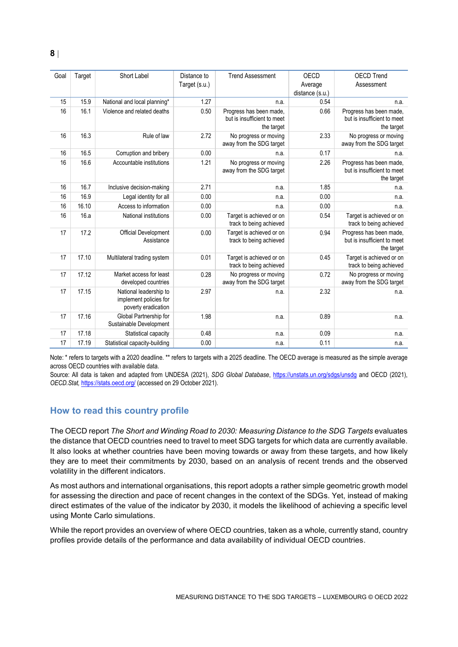| Goal | Target | Short Label                                                             | Distance to<br>Target (s.u.) | <b>Trend Assessment</b>                                              | <b>OECD</b><br>Average<br>distance (s.u.) | <b>OECD Trend</b><br>Assessment                                      |
|------|--------|-------------------------------------------------------------------------|------------------------------|----------------------------------------------------------------------|-------------------------------------------|----------------------------------------------------------------------|
| 15   | 15.9   | National and local planning*                                            | 1.27                         | n.a.                                                                 | 0.54                                      | n.a.                                                                 |
| 16   | 16.1   | Violence and related deaths                                             | 0.50                         | Progress has been made.<br>but is insufficient to meet<br>the target | 0.66                                      | Progress has been made.<br>but is insufficient to meet<br>the target |
| 16   | 16.3   | Rule of law                                                             | 2.72                         | No progress or moving<br>away from the SDG target                    | 2.33                                      | No progress or moving<br>away from the SDG target                    |
| 16   | 16.5   | Corruption and bribery                                                  | 0.00                         | n.a.                                                                 | 0.17                                      | n.a.                                                                 |
| 16   | 16.6   | Accountable institutions                                                | 1.21                         | No progress or moving<br>away from the SDG target                    | 2.26                                      | Progress has been made,<br>but is insufficient to meet<br>the target |
| 16   | 16.7   | Inclusive decision-making                                               | 2.71                         | n.a.                                                                 | 1.85                                      | n.a.                                                                 |
| 16   | 16.9   | Legal identity for all                                                  | 0.00                         | n.a.                                                                 | 0.00                                      | n.a.                                                                 |
| 16   | 16.10  | Access to information                                                   | 0.00                         | n.a.                                                                 | 0.00                                      | n.a.                                                                 |
| 16   | 16.a   | National institutions                                                   | 0.00                         | Target is achieved or on<br>track to being achieved                  | 0.54                                      | Target is achieved or on<br>track to being achieved                  |
| 17   | 17.2   | Official Development<br>Assistance                                      | 0.00                         | Target is achieved or on<br>track to being achieved                  | 0.94                                      | Progress has been made,<br>but is insufficient to meet<br>the target |
| 17   | 17.10  | Multilateral trading system                                             | 0.01                         | Target is achieved or on<br>track to being achieved                  | 0.45                                      | Target is achieved or on<br>track to being achieved                  |
| 17   | 17.12  | Market access for least<br>developed countries                          | 0.28                         | No progress or moving<br>away from the SDG target                    | 0.72                                      | No progress or moving<br>away from the SDG target                    |
| 17   | 17.15  | National leadership to<br>implement policies for<br>poverty eradication | 2.97                         | n.a.                                                                 | 2.32                                      | n.a.                                                                 |
| 17   | 17.16  | Global Partnership for<br>Sustainable Development                       | 1.98                         | n.a.                                                                 | 0.89                                      | n.a.                                                                 |
| 17   | 17.18  | Statistical capacity                                                    | 0.48                         | n.a.                                                                 | 0.09                                      | n.a.                                                                 |
| 17   | 17.19  | Statistical capacity-building                                           | 0.00                         | n.a.                                                                 | 0.11                                      | n.a.                                                                 |

Note: \* refers to targets with a 2020 deadline. \*\* refers to targets with a 2025 deadline. The OECD average is measured as the simple average across OECD countries with available data.

Source: All data is taken and adapted from UNDESA (2021), *SDG Global Database*,<https://unstats.un.org/sdgs/unsdg> and OECD (2021), *OECD.Stat,* <https://stats.oecd.org/> (accessed on 29 October 2021).

## <span id="page-7-0"></span>**How to read this country profile**

The OECD report *The Short and Winding Road to 2030: Measuring Distance to the SDG Targets* evaluates the distance that OECD countries need to travel to meet SDG targets for which data are currently available. It also looks at whether countries have been moving towards or away from these targets, and how likely they are to meet their commitments by 2030, based on an analysis of recent trends and the observed volatility in the different indicators.

As most authors and international organisations, this report adopts a rather simple geometric growth model for assessing the direction and pace of recent changes in the context of the SDGs. Yet, instead of making direct estimates of the value of the indicator by 2030, it models the likelihood of achieving a specific level using Monte Carlo simulations.

While the report provides an overview of where OECD countries, taken as a whole, currently stand, country profiles provide details of the performance and data availability of individual OECD countries.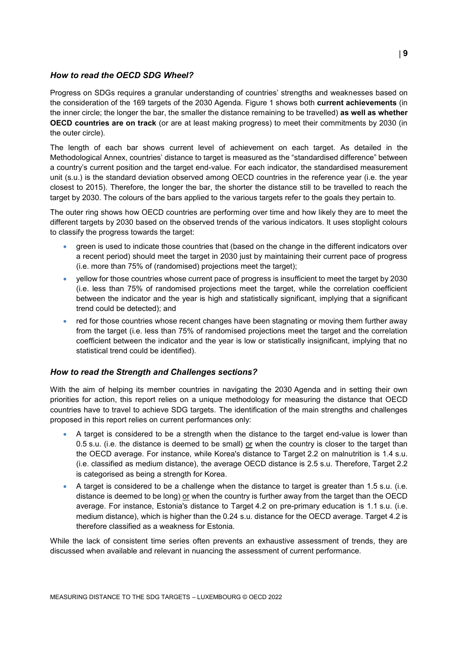#### *How to read the OECD SDG Wheel?*

Progress on SDGs requires a granular understanding of countries' strengths and weaknesses based on the consideration of the 169 targets of the 2030 Agenda. [Figure](#page-0-0) 1 shows both **current achievements** (in the inner circle; the longer the bar, the smaller the distance remaining to be travelled) **as well as whether OECD countries are on track** (or are at least making progress) to meet their commitments by 2030 (in the outer circle).

The length of each bar shows current level of achievement on each target. As detailed in the Methodological Annex, countries' distance to target is measured as the "standardised difference" between a country's current position and the target end-value. For each indicator, the standardised measurement unit (s.u.) is the standard deviation observed among OECD countries in the reference year (i.e. the year closest to 2015). Therefore, the longer the bar, the shorter the distance still to be travelled to reach the target by 2030. The colours of the bars applied to the various targets refer to the goals they pertain to.

The outer ring shows how OECD countries are performing over time and how likely they are to meet the different targets by 2030 based on the observed trends of the various indicators. It uses stoplight colours to classify the progress towards the target:

- green is used to indicate those countries that (based on the change in the different indicators over a recent period) should meet the target in 2030 just by maintaining their current pace of progress (i.e. more than 75% of (randomised) projections meet the target);
- yellow for those countries whose current pace of progress is insufficient to meet the target by 2030 (i.e. less than 75% of randomised projections meet the target, while the correlation coefficient between the indicator and the year is high and statistically significant, implying that a significant trend could be detected); and
- red for those countries whose recent changes have been stagnating or moving them further away from the target (i.e. less than 75% of randomised projections meet the target and the correlation coefficient between the indicator and the year is low or statistically insignificant, implying that no statistical trend could be identified).

#### *How to read the Strength and Challenges sections?*

With the aim of helping its member countries in navigating the 2030 Agenda and in setting their own priorities for action, this report relies on a unique methodology for measuring the distance that OECD countries have to travel to achieve SDG targets. The identification of the main strengths and challenges proposed in this report relies on current performances only:

- A target is considered to be a strength when the distance to the target end-value is lower than 0.5 s.u. (i.e. the distance is deemed to be small) or when the country is closer to the target than the OECD average. For instance, while Korea's distance to Target 2.2 on malnutrition is 1.4 s.u. (i.e. classified as medium distance), the average OECD distance is 2.5 s.u. Therefore, Target 2.2 is categorised as being a strength for Korea.
- A target is considered to be a challenge when the distance to target is greater than 1.5 s.u. (i.e. distance is deemed to be long) or when the country is further away from the target than the OECD average. For instance, Estonia's distance to Target 4.2 on pre-primary education is 1.1 s.u. (i.e. medium distance), which is higher than the 0.24 s.u. distance for the OECD average. Target 4.2 is therefore classified as a weakness for Estonia.

While the lack of consistent time series often prevents an exhaustive assessment of trends, they are discussed when available and relevant in nuancing the assessment of current performance.